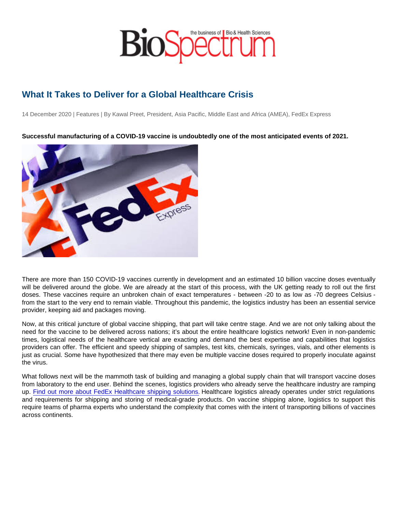## What It Takes to Deliver for a Global Healthcare Crisis

14 December 2020 | Features | By Kawal Preet, President, Asia Pacific, Middle East and Africa (AMEA), FedEx Express

Successful manufacturing of a COVID-19 vaccine is undoubtedly one of the most anticipated events of 2021.

There are more than 150 COVID-19 vaccines currently in development and an estimated 10 billion vaccine doses eventually will be delivered around the globe. We are already at the start of this process, with the UK getting ready to roll out the first doses. These vaccines require an unbroken chain of exact temperatures - between -20 to as low as -70 degrees Celsius from the start to the very end to remain viable. Throughout this pandemic, the logistics industry has been an essential service provider, keeping aid and packages moving.

Now, at this critical juncture of global vaccine shipping, that part will take centre stage. And we are not only talking about the need for the vaccine to be delivered across nations; it's about the entire healthcare logistics network! Even in non-pandemic times, logistical needs of the healthcare vertical are exacting and demand the best expertise and capabilities that logistics providers can offer. The efficient and speedy shipping of samples, test kits, chemicals, syringes, vials, and other elements is just as crucial. Some have hypothesized that there may even be multiple vaccine doses required to properly inoculate against the virus.

What follows next will be the mammoth task of building and managing a global supply chain that will transport vaccine doses from laboratory to the end user. Behind the scenes, logistics providers who already serve the healthcare industry are ramping up. [Find out more about FedEx Healthcare shipping solutions.](http://www.fedex.com/sg/healthcare/?CMP=BAC-1006019-3-1-952-1000000-APAC-SG-EN-PRERINAHPLB0011) Healthcare logistics already operates under strict regulations and requirements for shipping and storing of medical-grade products. On vaccine shipping alone, logistics to support this require teams of pharma experts who understand the complexity that comes with the intent of transporting billions of vaccines across continents.